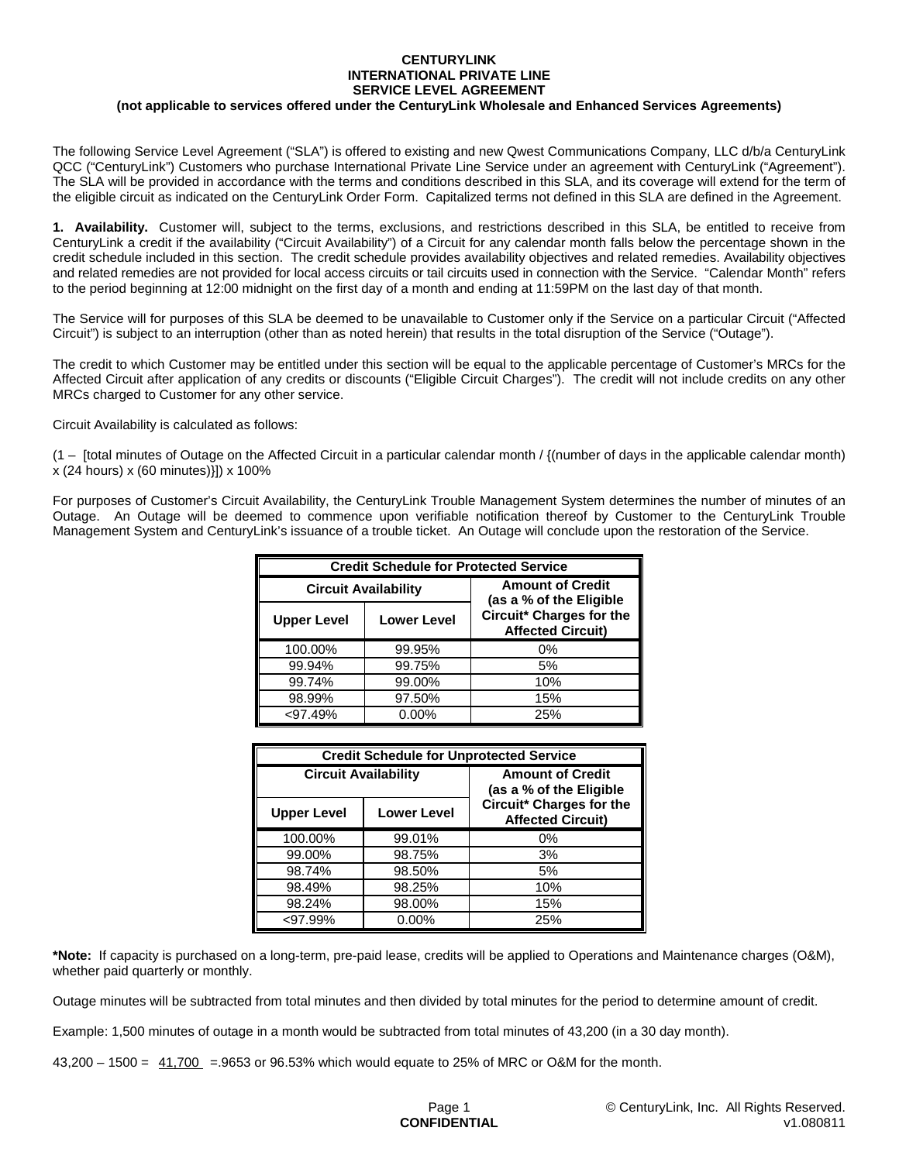## **CENTURYLINK INTERNATIONAL PRIVATE LINE SERVICE LEVEL AGREEMENT**

## **(not applicable to services offered under the CenturyLink Wholesale and Enhanced Services Agreements)**

The following Service Level Agreement ("SLA") is offered to existing and new Qwest Communications Company, LLC d/b/a CenturyLink QCC ("CenturyLink") Customers who purchase International Private Line Service under an agreement with CenturyLink ("Agreement"). The SLA will be provided in accordance with the terms and conditions described in this SLA, and its coverage will extend for the term of the eligible circuit as indicated on the CenturyLink Order Form. Capitalized terms not defined in this SLA are defined in the Agreement.

**1. Availability.** Customer will, subject to the terms, exclusions, and restrictions described in this SLA, be entitled to receive from CenturyLink a credit if the availability ("Circuit Availability") of a Circuit for any calendar month falls below the percentage shown in the credit schedule included in this section. The credit schedule provides availability objectives and related remedies. Availability objectives and related remedies are not provided for local access circuits or tail circuits used in connection with the Service. "Calendar Month" refers to the period beginning at 12:00 midnight on the first day of a month and ending at 11:59PM on the last day of that month.

The Service will for purposes of this SLA be deemed to be unavailable to Customer only if the Service on a particular Circuit ("Affected Circuit") is subject to an interruption (other than as noted herein) that results in the total disruption of the Service ("Outage").

The credit to which Customer may be entitled under this section will be equal to the applicable percentage of Customer's MRCs for the Affected Circuit after application of any credits or discounts ("Eligible Circuit Charges"). The credit will not include credits on any other MRCs charged to Customer for any other service.

Circuit Availability is calculated as follows:

 $(1 -$  [total minutes of Outage on the Affected Circuit in a particular calendar month / { $(number$  of days in the applicable calendar month) x (24 hours) x (60 minutes)}]) x 100%

For purposes of Customer's Circuit Availability, the CenturyLink Trouble Management System determines the number of minutes of an Outage. An Outage will be deemed to commence upon verifiable notification thereof by Customer to the CenturyLink Trouble Management System and CenturyLink's issuance of a trouble ticket. An Outage will conclude upon the restoration of the Service.

| <b>Credit Schedule for Protected Service</b> |                    |                                                      |  |
|----------------------------------------------|--------------------|------------------------------------------------------|--|
| <b>Circuit Availability</b>                  |                    | <b>Amount of Credit</b><br>(as a % of the Eligible   |  |
| <b>Upper Level</b>                           | <b>Lower Level</b> | Circuit* Charges for the<br><b>Affected Circuit)</b> |  |
| 100.00%                                      | 99.95%             | 0%                                                   |  |
| 99.94%                                       | 99.75%             | 5%                                                   |  |
| 99.74%                                       | 99.00%             | 10%                                                  |  |
| 98.99%                                       | 97.50%             | 15%                                                  |  |
| <97.49%                                      | $0.00\%$           | 25%                                                  |  |

| <b>Credit Schedule for Unprotected Service</b> |                    |                                                      |  |
|------------------------------------------------|--------------------|------------------------------------------------------|--|
| <b>Circuit Availability</b>                    |                    | <b>Amount of Credit</b><br>(as a % of the Eligible   |  |
| <b>Upper Level</b>                             | <b>Lower Level</b> | Circuit* Charges for the<br><b>Affected Circuit)</b> |  |
| 100.00%                                        | 99.01%             | $0\%$                                                |  |
| 99.00%                                         | 98.75%             | 3%                                                   |  |
| 98.74%                                         | 98.50%             | 5%                                                   |  |
| 98.49%                                         | 98.25%             | 10%                                                  |  |
| 98.24%                                         | 98.00%             | 15%                                                  |  |
| $< 97.99\%$                                    | $0.00\%$           | 25%                                                  |  |

**\*Note:** If capacity is purchased on a long-term, pre-paid lease, credits will be applied to Operations and Maintenance charges (O&M), whether paid quarterly or monthly.

Outage minutes will be subtracted from total minutes and then divided by total minutes for the period to determine amount of credit.

Example: 1,500 minutes of outage in a month would be subtracted from total minutes of 43,200 (in a 30 day month).

43,200 – 1500 =  $41,700$  = 9653 or 96.53% which would equate to 25% of MRC or O&M for the month.